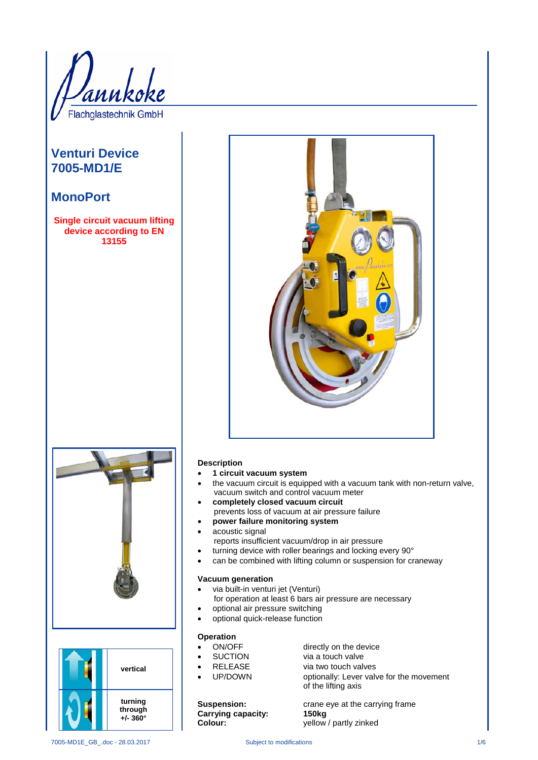Flachglastechnik GmbH

## **Venturi Device 7005-MD1/E**

### **MonoPort**

**Single circuit vacuum lifting device according to EN 13155**







#### **Description**

- **1 circuit vacuum system**
- the vacuum circuit is equipped with a vacuum tank with non-return valve, vacuum switch and control vacuum meter
- **completely closed vacuum circuit** prevents loss of vacuum at air pressure failure
- **power failure monitoring system**
- acoustic signal
- reports insufficient vacuum/drop in air pressure
- turning device with roller bearings and locking every 90°
- can be combined with lifting column or suspension for craneway

#### **Vacuum generation**

- via built-in venturi jet (Venturi)
	- for operation at least 6 bars air pressure are necessary
- optional air pressure switching
- optional quick-release function

# **Operation**<br>• ON/OFF

- ON/OFF directly on the device<br>
SUCTION via a touch valve
- SUCTION via a touch valve
- **FILEASE** via two touch valves<br>
UP/DOWN optionally: Lever valv
	- optionally: Lever valve for the movement of the lifting axis

**Carrying capacity: 150kg**

**Suspension: crane eye at the carrying frame Colour:** yellow / partly zinked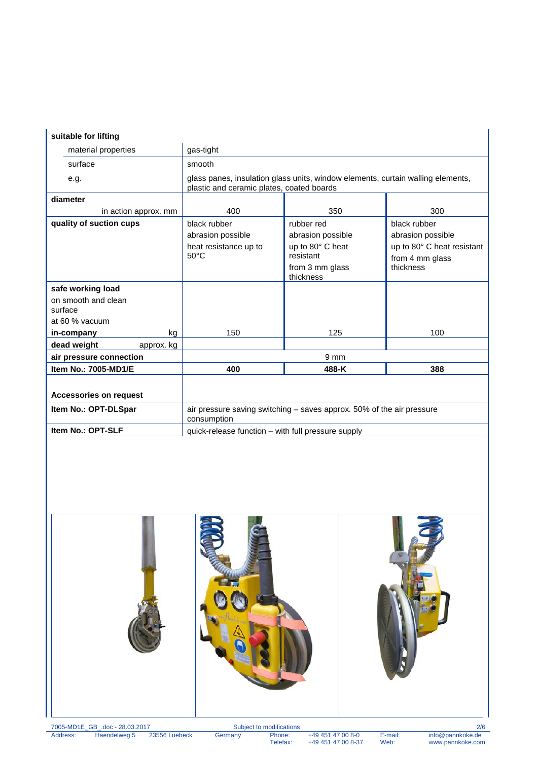### **suitable for lifting**

| suitable for lifting           |                                                                                                                              |                              |                            |
|--------------------------------|------------------------------------------------------------------------------------------------------------------------------|------------------------------|----------------------------|
| material properties            | gas-tight                                                                                                                    |                              |                            |
| surface                        | smooth                                                                                                                       |                              |                            |
| e.g.                           | glass panes, insulation glass units, window elements, curtain walling elements,<br>plastic and ceramic plates, coated boards |                              |                            |
| diameter                       |                                                                                                                              |                              |                            |
| in action approx. mm           | 400                                                                                                                          | 350                          | 300                        |
| quality of suction cups        | black rubber                                                                                                                 | rubber red                   | black rubber               |
|                                | abrasion possible                                                                                                            | abrasion possible            | abrasion possible          |
|                                | heat resistance up to                                                                                                        | up to 80° C heat             | up to 80° C heat resistant |
|                                | $50^{\circ}$ C                                                                                                               | resistant                    | from 4 mm glass            |
|                                |                                                                                                                              | from 3 mm glass<br>thickness | thickness                  |
| safe working load              |                                                                                                                              |                              |                            |
| on smooth and clean<br>surface |                                                                                                                              |                              |                            |
| at 60 % vacuum                 |                                                                                                                              |                              |                            |
| in-company<br>kg               | 150                                                                                                                          | 125                          | 100                        |
| dead weight<br>approx. kg      |                                                                                                                              |                              |                            |
| air pressure connection        | 9 <sub>mm</sub>                                                                                                              |                              |                            |
| Item No.: 7005-MD1/E           | 400                                                                                                                          | 488-K                        | 388                        |
|                                |                                                                                                                              |                              |                            |
| <b>Accessories on request</b>  |                                                                                                                              |                              |                            |
| Item No.: OPT-DLSpar           | air pressure saving switching - saves approx. 50% of the air pressure<br>consumption                                         |                              |                            |
| Item No.: OPT-SLF              | quick-release function - with full pressure supply                                                                           |                              |                            |

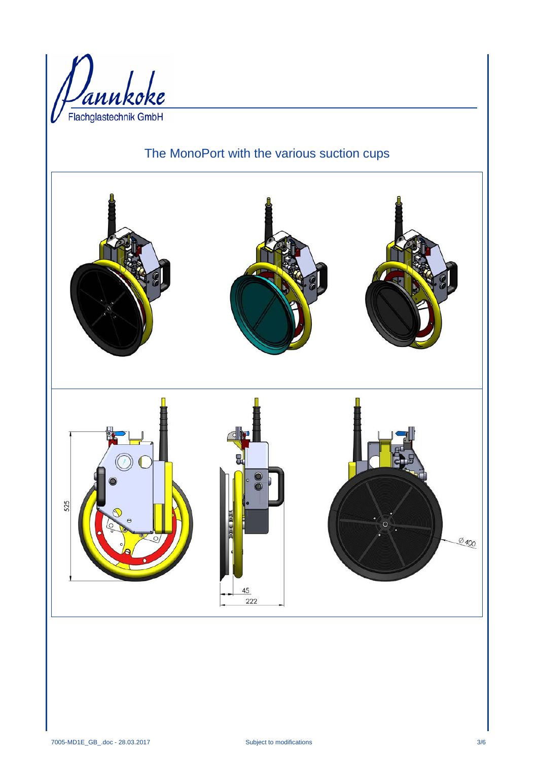

# The MonoPort with the various suction cups

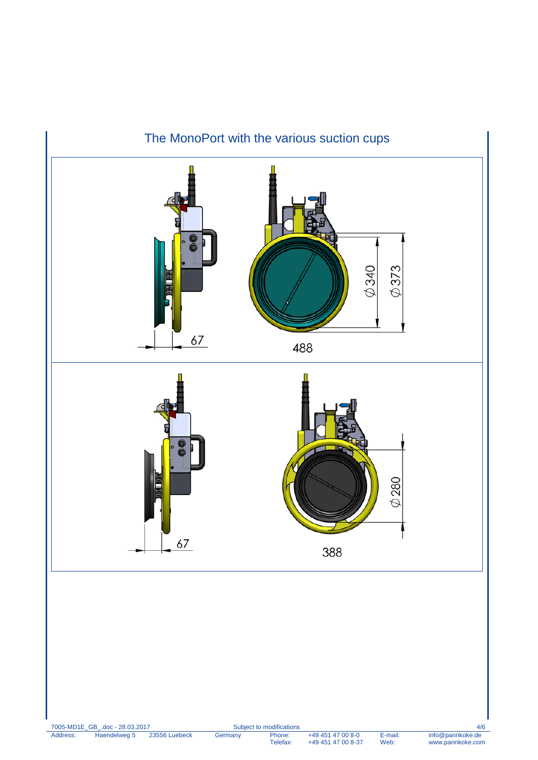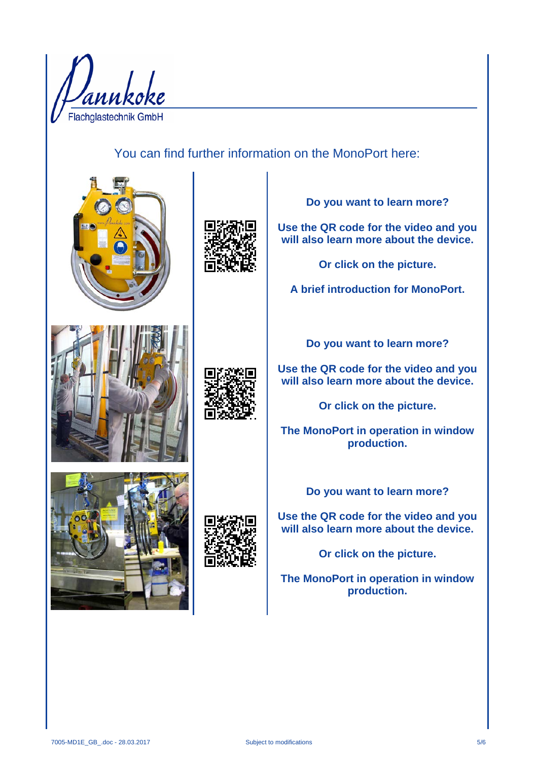

You can find further information on the MonoPort here:





**Do you want to learn more?**

**Use the QR code for the video and you will also learn more about the device.**

**Or click on the picture.**

**A brief introduction for MonoPort.**





**Do you want to learn more?**

**Use the QR code for the video and you will also learn more about the device.**

**Or click on the picture.**

**The MonoPort in operation in window production.**





**Do you want to learn more?**

**Use the QR code for the video and you will also learn more about the device.**

**Or click on the picture.**

**The MonoPort in operation in window production.**